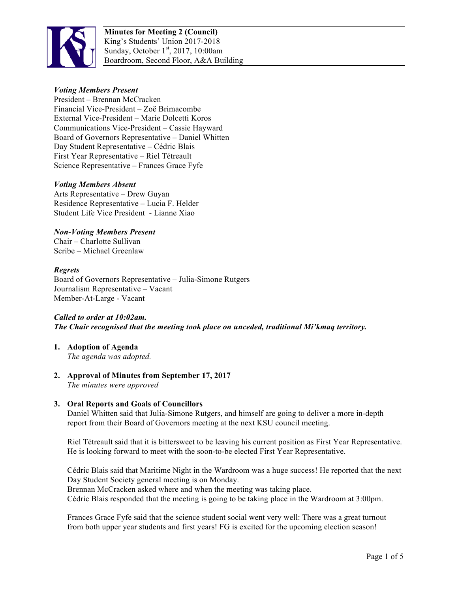

**Minutes for Meeting 2 (Council)** King's Students' Union 2017-2018 Sunday, October  $1<sup>st</sup>$ , 2017, 10:00am Boardroom, Second Floor, A&A Building

# *Voting Members Present*

President – Brennan McCracken Financial Vice-President – Zoë Brimacombe External Vice-President – Marie Dolcetti Koros Communications Vice-President – Cassie Hayward Board of Governors Representative – Daniel Whitten Day Student Representative – Cédric Blais First Year Representative – Riel Tétreault Science Representative – Frances Grace Fyfe

# *Voting Members Absent*

Arts Representative – Drew Guyan Residence Representative – Lucia F. Helder Student Life Vice President - Lianne Xiao

# *Non-Voting Members Present*

Chair – Charlotte Sullivan Scribe – Michael Greenlaw

### *Regrets*

Board of Governors Representative – Julia-Simone Rutgers Journalism Representative – Vacant Member-At-Large - Vacant

#### *Called to order at 10:02am.*

*The Chair recognised that the meeting took place on unceded, traditional Mi'kmaq territory.*

- **1. Adoption of Agenda** *The agenda was adopted.*
- **2. Approval of Minutes from September 17, 2017** *The minutes were approved*

# **3. Oral Reports and Goals of Councillors**

Daniel Whitten said that Julia-Simone Rutgers, and himself are going to deliver a more in-depth report from their Board of Governors meeting at the next KSU council meeting.

Riel Tétreault said that it is bittersweet to be leaving his current position as First Year Representative. He is looking forward to meet with the soon-to-be elected First Year Representative.

Cédric Blais said that Maritime Night in the Wardroom was a huge success! He reported that the next Day Student Society general meeting is on Monday. Brennan McCracken asked where and when the meeting was taking place.

Cédric Blais responded that the meeting is going to be taking place in the Wardroom at 3:00pm.

Frances Grace Fyfe said that the science student social went very well: There was a great turnout from both upper year students and first years! FG is excited for the upcoming election season!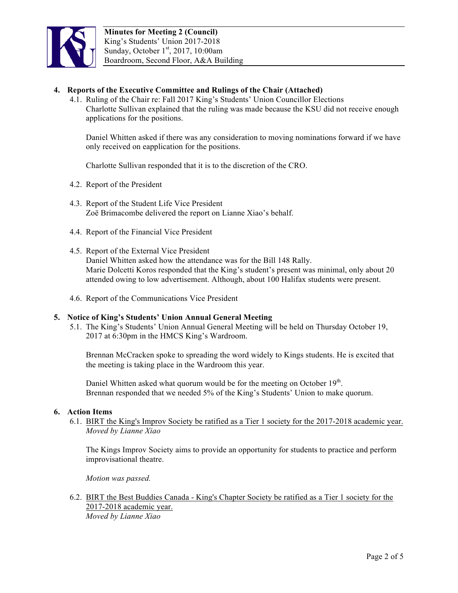

# **4. Reports of the Executive Committee and Rulings of the Chair (Attached)**

4.1. Ruling of the Chair re: Fall 2017 King's Students' Union Councillor Elections Charlotte Sullivan explained that the ruling was made because the KSU did not receive enough applications for the positions.

Daniel Whitten asked if there was any consideration to moving nominations forward if we have only received on eapplication for the positions.

Charlotte Sullivan responded that it is to the discretion of the CRO.

- 4.2. Report of the President
- 4.3. Report of the Student Life Vice President Zoë Brimacombe delivered the report on Lianne Xiao's behalf.
- 4.4. Report of the Financial Vice President
- 4.5. Report of the External Vice President Daniel Whitten asked how the attendance was for the Bill 148 Rally. Marie Dolcetti Koros responded that the King's student's present was minimal, only about 20 attended owing to low advertisement. Although, about 100 Halifax students were present.
- 4.6. Report of the Communications Vice President

#### **5. Notice of King's Students' Union Annual General Meeting**

5.1. The King's Students' Union Annual General Meeting will be held on Thursday October 19, 2017 at 6:30pm in the HMCS King's Wardroom.

Brennan McCracken spoke to spreading the word widely to Kings students. He is excited that the meeting is taking place in the Wardroom this year.

Daniel Whitten asked what quorum would be for the meeting on October 19<sup>th</sup>. Brennan responded that we needed 5% of the King's Students' Union to make quorum.

#### **6. Action Items**

6.1. BIRT the King's Improv Society be ratified as a Tier 1 society for the 2017-2018 academic year. *Moved by Lianne Xiao* 

The Kings Improv Society aims to provide an opportunity for students to practice and perform improvisational theatre.

*Motion was passed.*

6.2. BIRT the Best Buddies Canada - King's Chapter Society be ratified as a Tier 1 society for the 2017-2018 academic year. *Moved by Lianne Xiao*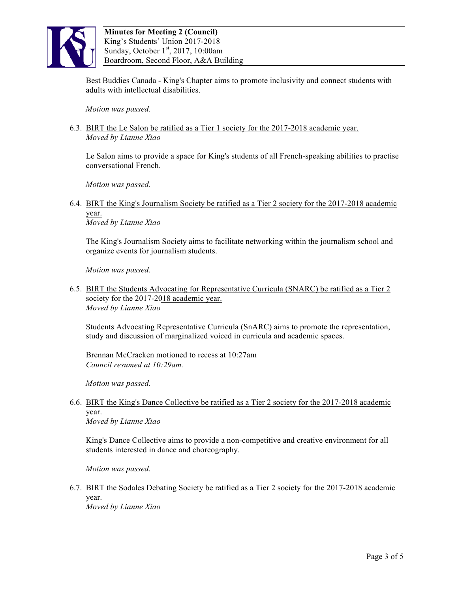

Best Buddies Canada - King's Chapter aims to promote inclusivity and connect students with adults with intellectual disabilities.

*Motion was passed.*

# 6.3. BIRT the Le Salon be ratified as a Tier 1 society for the 2017-2018 academic year. *Moved by Lianne Xiao*

Le Salon aims to provide a space for King's students of all French-speaking abilities to practise conversational French.

*Motion was passed.*

6.4. BIRT the King's Journalism Society be ratified as a Tier 2 society for the 2017-2018 academic year.

*Moved by Lianne Xiao*

The King's Journalism Society aims to facilitate networking within the journalism school and organize events for journalism students.

*Motion was passed.*

6.5. BIRT the Students Advocating for Representative Curricula (SNARC) be ratified as a Tier 2 society for the 2017-2018 academic year. *Moved by Lianne Xiao*

Students Advocating Representative Curricula (SnARC) aims to promote the representation, study and discussion of marginalized voiced in curricula and academic spaces.

Brennan McCracken motioned to recess at 10:27am *Council resumed at 10:29am.*

*Motion was passed.*

# 6.6. BIRT the King's Dance Collective be ratified as a Tier 2 society for the 2017-2018 academic year.

*Moved by Lianne Xiao*

King's Dance Collective aims to provide a non-competitive and creative environment for all students interested in dance and choreography.

*Motion was passed.*

6.7. BIRT the Sodales Debating Society be ratified as a Tier 2 society for the 2017-2018 academic year.

*Moved by Lianne Xiao*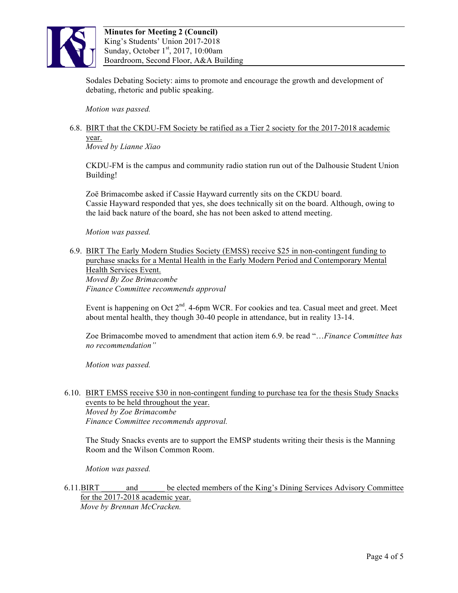

Sodales Debating Society: aims to promote and encourage the growth and development of debating, rhetoric and public speaking.

*Motion was passed.*

# 6.8. BIRT that the CKDU-FM Society be ratified as a Tier 2 society for the 2017-2018 academic year.

*Moved by Lianne Xiao* 

CKDU-FM is the campus and community radio station run out of the Dalhousie Student Union Building!

Zoë Brimacombe asked if Cassie Hayward currently sits on the CKDU board. Cassie Hayward responded that yes, she does technically sit on the board. Although, owing to the laid back nature of the board, she has not been asked to attend meeting.

*Motion was passed.*

6.9. BIRT The Early Modern Studies Society (EMSS) receive \$25 in non-contingent funding to purchase snacks for a Mental Health in the Early Modern Period and Contemporary Mental Health Services Event. *Moved By Zoe Brimacombe Finance Committee recommends approval* 

Event is happening on Oct 2<sup>nd</sup>. 4-6pm WCR. For cookies and tea. Casual meet and greet. Meet about mental health, they though 30-40 people in attendance, but in reality 13-14.

Zoe Brimacombe moved to amendment that action item 6.9. be read "…*Finance Committee has no recommendation"*

*Motion was passed.*

6.10. BIRT EMSS receive \$30 in non-contingent funding to purchase tea for the thesis Study Snacks events to be held throughout the year. *Moved by Zoe Brimacombe Finance Committee recommends approval.*

The Study Snacks events are to support the EMSP students writing their thesis is the Manning Room and the Wilson Common Room.

*Motion was passed.*

6.11.BIRT \_\_\_\_\_\_and \_\_\_\_\_\_ be elected members of the King's Dining Services Advisory Committee for the 2017-2018 academic year. *Move by Brennan McCracken.*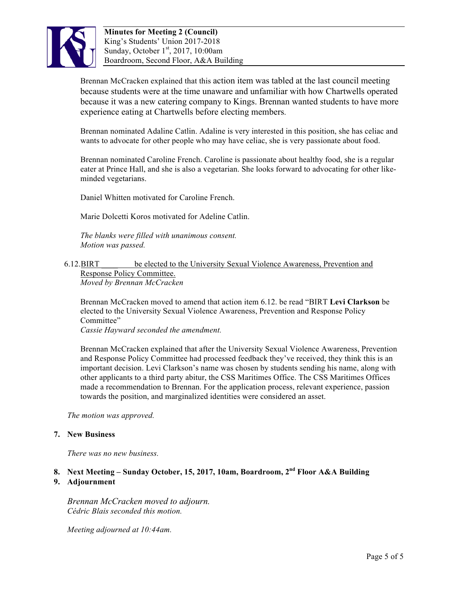

Brennan McCracken explained that this action item was tabled at the last council meeting because students were at the time unaware and unfamiliar with how Chartwells operated because it was a new catering company to Kings. Brennan wanted students to have more experience eating at Chartwells before electing members.

Brennan nominated Adaline Catlin. Adaline is very interested in this position, she has celiac and wants to advocate for other people who may have celiac, she is very passionate about food.

Brennan nominated Caroline French. Caroline is passionate about healthy food, she is a regular eater at Prince Hall, and she is also a vegetarian. She looks forward to advocating for other likeminded vegetarians.

Daniel Whitten motivated for Caroline French.

Marie Dolcetti Koros motivated for Adeline Catlin.

*The blanks were filled with unanimous consent. Motion was passed.*

6.12.BIRT \_\_\_\_ be elected to the University Sexual Violence Awareness, Prevention and Response Policy Committee. *Moved by Brennan McCracken* 

Brennan McCracken moved to amend that action item 6.12. be read "BIRT **Levi Clarkson** be elected to the University Sexual Violence Awareness, Prevention and Response Policy Committee"

*Cassie Hayward seconded the amendment.*

Brennan McCracken explained that after the University Sexual Violence Awareness, Prevention and Response Policy Committee had processed feedback they've received, they think this is an important decision. Levi Clarkson's name was chosen by students sending his name, along with other applicants to a third party abitur, the CSS Maritimes Office. The CSS Maritimes Offices made a recommendation to Brennan. For the application process, relevant experience, passion towards the position, and marginalized identities were considered an asset.

*The motion was approved.*

# **7. New Business**

*There was no new business.*

# **8. Next Meeting – Sunday October, 15, 2017, 10am, Boardroom, 2nd Floor A&A Building 9. Adjournment**

*Brennan McCracken moved to adjourn. Cédric Blais seconded this motion.*

*Meeting adjourned at 10:44am.*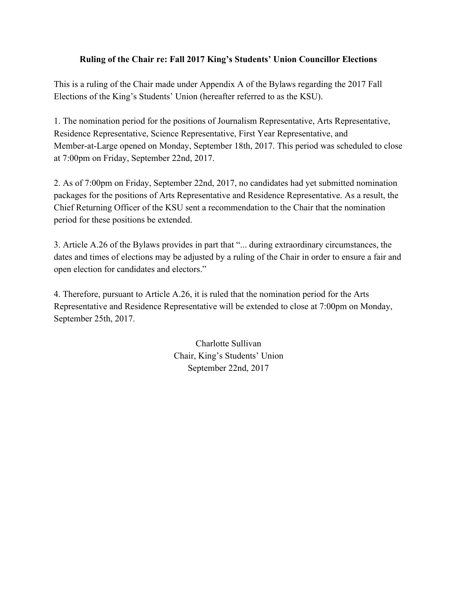# **Ruling of the Chair re: Fall 2017 King's Students' Union Councillor Elections**

This is a ruling of the Chair made under Appendix A of the Bylaws regarding the 2017 Fall Elections of the King's Students' Union (hereafter referred to as the KSU).

1. The nomination period for the positions of Journalism Representative, Arts Representative, Residence Representative, Science Representative, First Year Representative, and Member-at-Large opened on Monday, September 18th, 2017. This period was scheduled to close at 7:00pm on Friday, September 22nd, 2017.

2. As of 7:00pm on Friday, September 22nd, 2017, no candidates had yet submitted nomination packages for the positions of Arts Representative and Residence Representative. As a result, the Chief Returning Officer of the KSU sent a recommendation to the Chair that the nomination period for these positions be extended.

3. Article A.26 of the Bylaws provides in part that "... during extraordinary circumstances, the dates and times of elections may be adjusted by a ruling of the Chair in order to ensure a fair and open election for candidates and electors."

4. Therefore, pursuant to Article A.26, it is ruled that the nomination period for the Arts Representative and Residence Representative will be extended to close at 7:00pm on Monday, September 25th, 2017.

> Charlotte Sullivan Chair, King's Students' Union September 22nd, 2017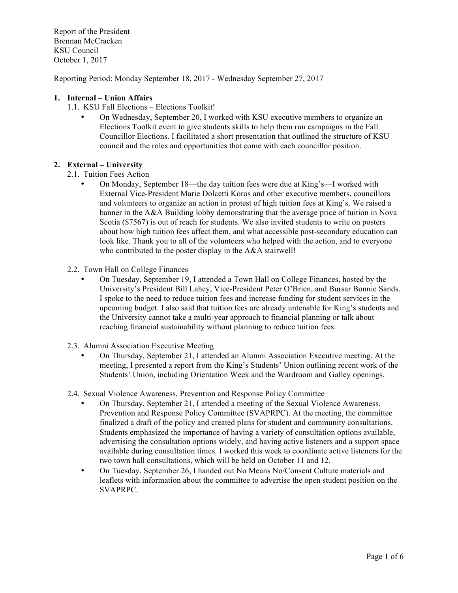Report of the President Brennan McCracken KSU Council October 1, 2017

Reporting Period: Monday September 18, 2017 - Wednesday September 27, 2017

### **1. Internal – Union Affairs**

- 1.1. KSU Fall Elections Elections Toolkit!
	- On Wednesday, September 20, I worked with KSU executive members to organize an Elections Toolkit event to give students skills to help them run campaigns in the Fall Councillor Elections. I facilitated a short presentation that outlined the structure of KSU council and the roles and opportunities that come with each councillor position.

### **2. External – University**

- 2.1. Tuition Fees Action
	- On Monday, September 18—the day tuition fees were due at King's—I worked with External Vice-President Marie Dolcetti Koros and other executive members, councillors and volunteers to organize an action in protest of high tuition fees at King's. We raised a banner in the A&A Building lobby demonstrating that the average price of tuition in Nova Scotia (\$7567) is out of reach for students. We also invited students to write on posters about how high tuition fees affect them, and what accessible post-secondary education can look like. Thank you to all of the volunteers who helped with the action, and to everyone who contributed to the poster display in the A&A stairwell!
- 2.2. Town Hall on College Finances
	- On Tuesday, September 19, I attended a Town Hall on College Finances, hosted by the University's President Bill Lahey, Vice-President Peter O'Brien, and Bursar Bonnie Sands. I spoke to the need to reduce tuition fees and increase funding for student services in the upcoming budget. I also said that tuition fees are already untenable for King's students and the University cannot take a multi-year approach to financial planning or talk about reaching financial sustainability without planning to reduce tuition fees.
- 2.3. Alumni Association Executive Meeting
	- On Thursday, September 21, I attended an Alumni Association Executive meeting. At the meeting, I presented a report from the King's Students' Union outlining recent work of the Students' Union, including Orientation Week and the Wardroom and Galley openings.
- 2.4. Sexual Violence Awareness, Prevention and Response Policy Committee
	- On Thursday, September 21, I attended a meeting of the Sexual Violence Awareness, Prevention and Response Policy Committee (SVAPRPC). At the meeting, the committee finalized a draft of the policy and created plans for student and community consultations. Students emphasized the importance of having a variety of consultation options available, advertising the consultation options widely, and having active listeners and a support space available during consultation times. I worked this week to coordinate active listeners for the two town hall consultations, which will be held on October 11 and 12.
	- On Tuesday, September 26, I handed out No Means No/Consent Culture materials and leaflets with information about the committee to advertise the open student position on the SVAPRPC.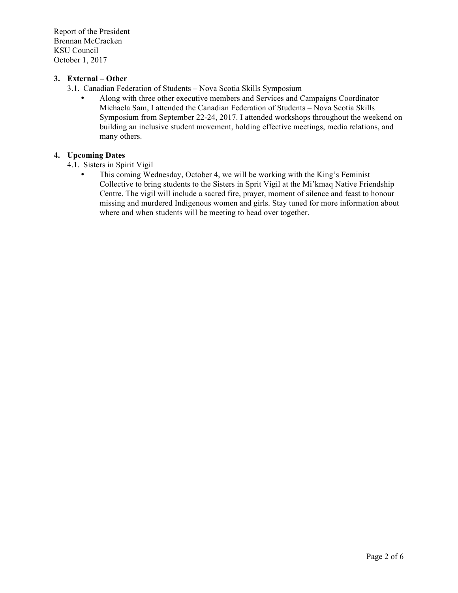Report of the President Brennan McCracken KSU Council October 1, 2017

# **3. External – Other**

- 3.1. Canadian Federation of Students Nova Scotia Skills Symposium
	- Along with three other executive members and Services and Campaigns Coordinator Michaela Sam, I attended the Canadian Federation of Students – Nova Scotia Skills Symposium from September 22-24, 2017. I attended workshops throughout the weekend on building an inclusive student movement, holding effective meetings, media relations, and many others.

# **4. Upcoming Dates**

- 4.1. Sisters in Spirit Vigil
	- This coming Wednesday, October 4, we will be working with the King's Feminist Collective to bring students to the Sisters in Sprit Vigil at the Mi'kmaq Native Friendship Centre. The vigil will include a sacred fire, prayer, moment of silence and feast to honour missing and murdered Indigenous women and girls. Stay tuned for more information about where and when students will be meeting to head over together.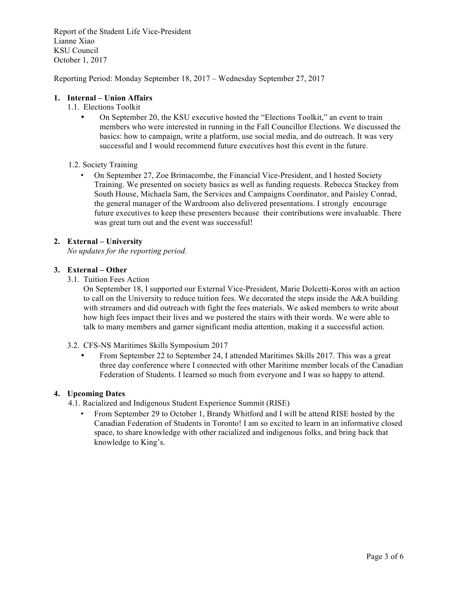Report of the Student Life Vice-President Lianne Xiao KSU Council October 1, 2017

Reporting Period: Monday September 18, 2017 – Wednesday September 27, 2017

### **1. Internal – Union Affairs**

- 1.1. Elections Toolkit
	- On September 20, the KSU executive hosted the "Elections Toolkit," an event to train members who were interested in running in the Fall Councillor Elections. We discussed the basics: how to campaign, write a platform, use social media, and do outreach. It was very successful and I would recommend future executives host this event in the future.
- 1.2. Society Training
	- On September 27, Zoe Brimacombe, the Financial Vice-President, and I hosted Society Training. We presented on society basics as well as funding requests. Rebecca Stuckey from South House, Michaela Sam, the Services and Campaigns Coordinator, and Paisley Conrad, the general manager of the Wardroom also delivered presentations. I strongly encourage future executives to keep these presenters because their contributions were invaluable. There was great turn out and the event was successful!

### **2. External – University**

*No updates for the reporting period.* 

# **3. External – Other**

3.1. Tuition Fees Action

On September 18, I supported our External Vice-President, Marie Dolcetti-Koros with an action to call on the University to reduce tuition fees. We decorated the steps inside the  $A&A$  building with streamers and did outreach with fight the fees materials. We asked members to write about how high fees impact their lives and we postered the stairs with their words. We were able to talk to many members and garner significant media attention, making it a successful action.

- 3.2. CFS-NS Maritimes Skills Symposium 2017
	- From September 22 to September 24, I attended Maritimes Skills 2017. This was a great three day conference where I connected with other Maritime member locals of the Canadian Federation of Students. I learned so much from everyone and I was so happy to attend.

# **4. Upcoming Dates**

- 4.1. Racialized and Indigenous Student Experience Summit (RISE)
	- From September 29 to October 1, Brandy Whitford and I will be attend RISE hosted by the Canadian Federation of Students in Toronto! I am so excited to learn in an informative closed space, to share knowledge with other racialized and indigenous folks, and bring back that knowledge to King's.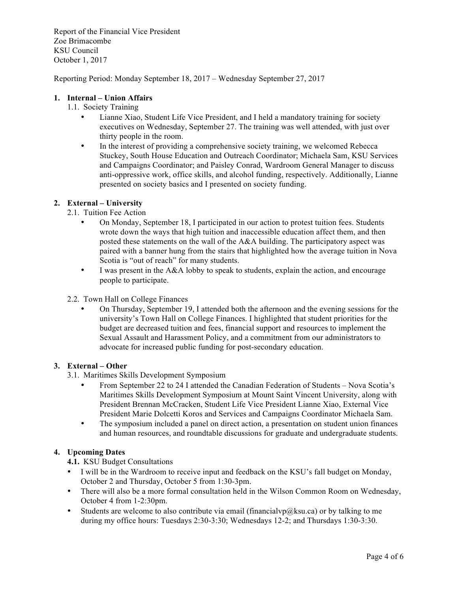Report of the Financial Vice President Zoe Brimacombe KSU Council October 1, 2017

Reporting Period: Monday September 18, 2017 – Wednesday September 27, 2017

# **1. Internal – Union Affairs**

- 1.1. Society Training
	- Lianne Xiao, Student Life Vice President, and I held a mandatory training for society executives on Wednesday, September 27. The training was well attended, with just over thirty people in the room.
	- In the interest of providing a comprehensive society training, we welcomed Rebecca Stuckey, South House Education and Outreach Coordinator; Michaela Sam, KSU Services and Campaigns Coordinator; and Paisley Conrad, Wardroom General Manager to discuss anti-oppressive work, office skills, and alcohol funding, respectively. Additionally, Lianne presented on society basics and I presented on society funding.

# **2. External – University**

2.1. Tuition Fee Action

- On Monday, September 18, I participated in our action to protest tuition fees. Students wrote down the ways that high tuition and inaccessible education affect them, and then posted these statements on the wall of the A&A building. The participatory aspect was paired with a banner hung from the stairs that highlighted how the average tuition in Nova Scotia is "out of reach" for many students.
- I was present in the A&A lobby to speak to students, explain the action, and encourage people to participate.
- 2.2. Town Hall on College Finances
	- On Thursday, September 19, I attended both the afternoon and the evening sessions for the university's Town Hall on College Finances. I highlighted that student priorities for the budget are decreased tuition and fees, financial support and resources to implement the Sexual Assault and Harassment Policy, and a commitment from our administrators to advocate for increased public funding for post-secondary education.

# **3. External – Other**

- 3.1. Maritimes Skills Development Symposium
	- From September 22 to 24 I attended the Canadian Federation of Students Nova Scotia's Maritimes Skills Development Symposium at Mount Saint Vincent University, along with President Brennan McCracken, Student Life Vice President Lianne Xiao, External Vice President Marie Dolcetti Koros and Services and Campaigns Coordinator Michaela Sam.
	- The symposium included a panel on direct action, a presentation on student union finances and human resources, and roundtable discussions for graduate and undergraduate students.

# **4. Upcoming Dates**

**4.1.** KSU Budget Consultations

- I will be in the Wardroom to receive input and feedback on the KSU's fall budget on Monday, October 2 and Thursday, October 5 from 1:30-3pm.
- There will also be a more formal consultation held in the Wilson Common Room on Wednesday, October 4 from 1-2:30pm.
- Students are welcome to also contribute via email (financialvp@ksu.ca) or by talking to me during my office hours: Tuesdays 2:30-3:30; Wednesdays 12-2; and Thursdays 1:30-3:30.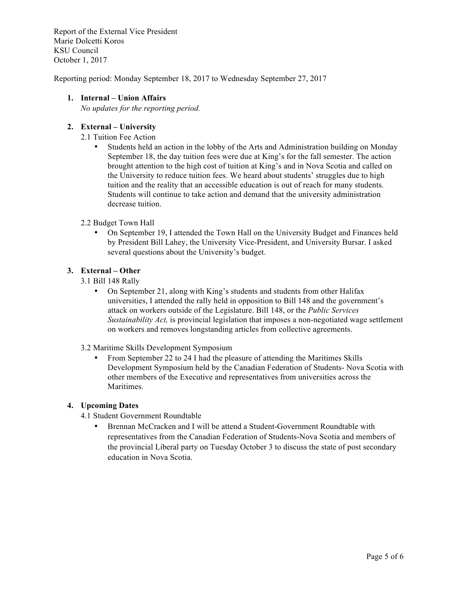Report of the External Vice President Marie Dolcetti Koros KSU Council October 1, 2017

Reporting period: Monday September 18, 2017 to Wednesday September 27, 2017

# **1. Internal – Union Affairs**

*No updates for the reporting period.* 

# **2. External – University**

- 2.1 Tuition Fee Action
	- Students held an action in the lobby of the Arts and Administration building on Monday September 18, the day tuition fees were due at King's for the fall semester. The action brought attention to the high cost of tuition at King's and in Nova Scotia and called on the University to reduce tuition fees. We heard about students' struggles due to high tuition and the reality that an accessible education is out of reach for many students. Students will continue to take action and demand that the university administration decrease tuition.

# 2.2 Budget Town Hall

• On September 19, I attended the Town Hall on the University Budget and Finances held by President Bill Lahey, the University Vice-President, and University Bursar. I asked several questions about the University's budget.

# **3. External – Other**

- 3.1 Bill 148 Rally
	- On September 21, along with King's students and students from other Halifax universities, I attended the rally held in opposition to Bill 148 and the government's attack on workers outside of the Legislature. Bill 148, or the *Public Services Sustainability Act,* is provincial legislation that imposes a non-negotiated wage settlement on workers and removes longstanding articles from collective agreements.
- 3.2 Maritime Skills Development Symposium
	- From September 22 to 24 I had the pleasure of attending the Maritimes Skills Development Symposium held by the Canadian Federation of Students- Nova Scotia with other members of the Executive and representatives from universities across the Maritimes.

# **4. Upcoming Dates**

- 4.1 Student Government Roundtable
	- Brennan McCracken and I will be attend a Student-Government Roundtable with representatives from the Canadian Federation of Students-Nova Scotia and members of the provincial Liberal party on Tuesday October 3 to discuss the state of post secondary education in Nova Scotia.